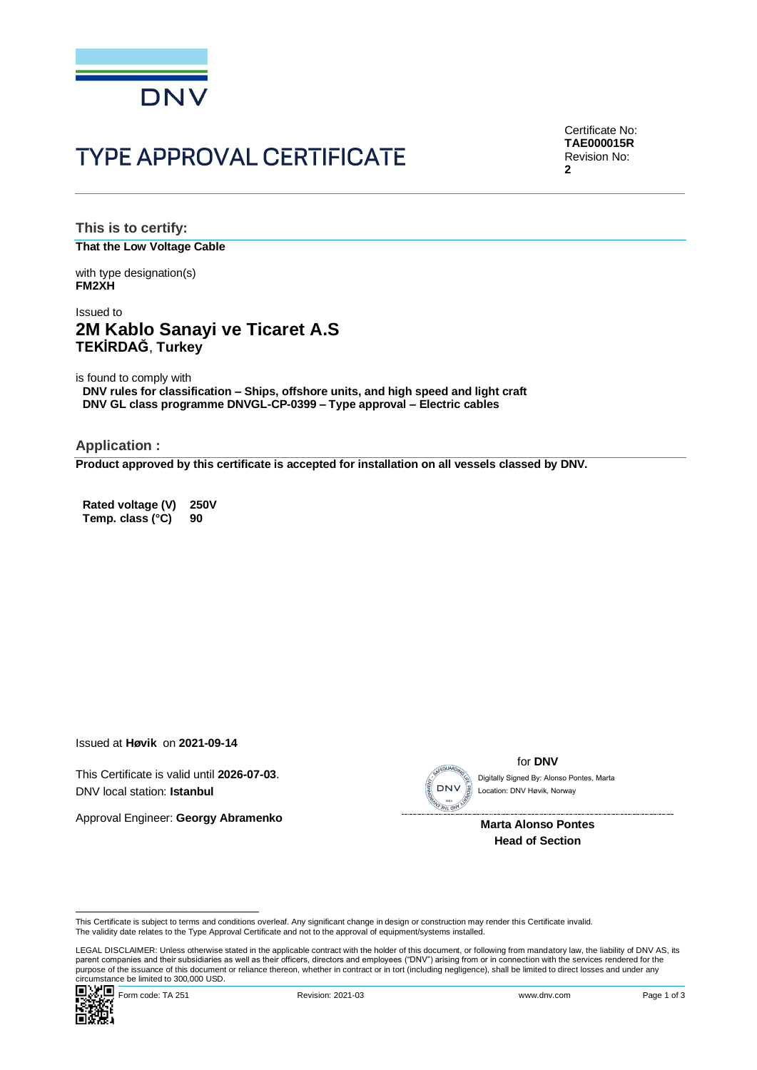

# **TYPE APPROVAL CERTIFICATE**

Certificate No: **TAE000015R** Revision No: **2**

**This is to certify: That the Low Voltage Cable**

with type designation(s) **FM2XH**

## Issued to **2M Kablo Sanayi ve Ticaret A.S TEKİRDAĞ**, **Turkey**

is found to comply with

**DNV rules for classification – Ships, offshore units, and high speed and light craft DNV GL class programme DNVGL-CP-0399 – Type approval – Electric cables**

**Application :**

**Product approved by this certificate is accepted for installation on all vessels classed by DNV.**

**Rated voltage (V) 250V Temp. class (°C) 90**

Issued at **Høvik** on **2021-09-14**

This Certificate is valid until **2026-07-03**. DNV local station: **Istanbul**

Approval Engineer: **Georgy Abramenko**



for **DNV**

Location: DNV Høvik, Norway

 **Marta Alonso Pontes Head of Section**

Cilicumstance be immedial positions occur.<br>
■ Magnology Form code: TA 251 Revision: 2021-03 www.dnv.com Page 1 of 3 LEGAL DISCLAIMER: Unless otherwise stated in the applicable contract with the holder of this document, or following from mandatory law, the liability of DNV AS, its parent companies and their subsidiaries as well as their officers, directors and employees ("DNV") arising from or in connection with the services rendered for the This Certificate is subject to terms and conditions overleaf. Any significant change in design or construction may render this Certificate is subject to terms and conditions overleaf. Any significant change in design or co



This Certificate is subject to terms and conditions overleaf. Any significant change in design or construction may render this Certificate invalid.<br>The validity date relates to the Type Approval Certificate and not to the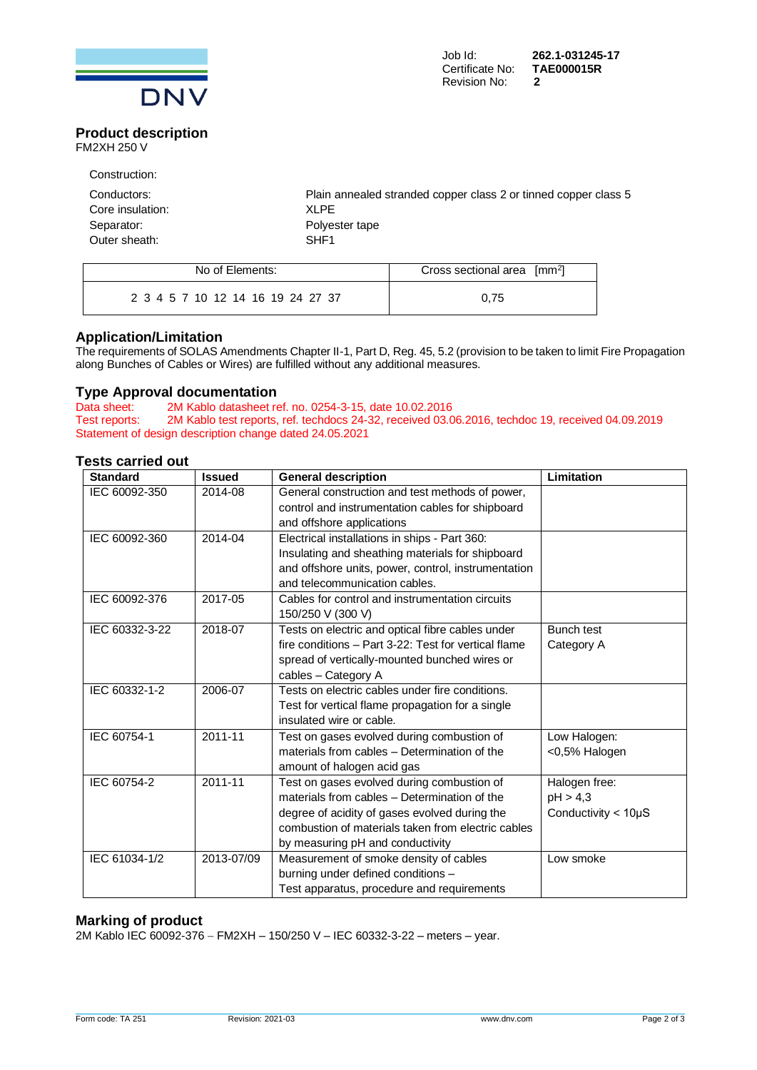

#### **Product description** FM2XH 250 V

Construction:

| Plain annealed stranded copper class 2 or tinned copper class 5 |
|-----------------------------------------------------------------|
| XLPF                                                            |
| Polyester tape                                                  |
| SHF <sub>1</sub>                                                |
|                                                                 |

| No of Elements:                   | Cross sectional area [mm <sup>2</sup> ] |
|-----------------------------------|-----------------------------------------|
| 2 3 4 5 7 10 12 14 16 19 24 27 37 | 0.75                                    |

### **Application/Limitation**

The requirements of SOLAS Amendments Chapter II-1, Part D, Reg. 45, 5.2 (provision to be taken to limit Fire Propagation along Bunches of Cables or Wires) are fulfilled without any additional measures.

### **Type Approval documentation**

Data sheet: 2M Kablo datasheet ref. no. 0254-3-15, date 10.02.2016<br>Test reports: 2M Kablo test reports, ref. techdocs 24-32, received 03.0 2M Kablo test reports, ref. techdocs 24-32, received 03.06.2016, techdoc 19, received 04.09.2019 Statement of design description change dated 24.05.2021

#### **Tests carried out**

| <b>Standard</b> | <b>Issued</b> | <b>General description</b>                           | Limitation                  |
|-----------------|---------------|------------------------------------------------------|-----------------------------|
| IEC 60092-350   | 2014-08       | General construction and test methods of power,      |                             |
|                 |               | control and instrumentation cables for shipboard     |                             |
|                 |               | and offshore applications                            |                             |
| IEC 60092-360   | 2014-04       | Electrical installations in ships - Part 360:        |                             |
|                 |               | Insulating and sheathing materials for shipboard     |                             |
|                 |               | and offshore units, power, control, instrumentation  |                             |
|                 |               | and telecommunication cables.                        |                             |
| IEC 60092-376   | 2017-05       | Cables for control and instrumentation circuits      |                             |
|                 |               | 150/250 V (300 V)                                    |                             |
| IEC 60332-3-22  | 2018-07       | Tests on electric and optical fibre cables under     | <b>Bunch test</b>           |
|                 |               | fire conditions - Part 3-22: Test for vertical flame | Category A                  |
|                 |               | spread of vertically-mounted bunched wires or        |                             |
|                 |               | cables - Category A                                  |                             |
| IEC 60332-1-2   | 2006-07       | Tests on electric cables under fire conditions.      |                             |
|                 |               | Test for vertical flame propagation for a single     |                             |
|                 |               | insulated wire or cable.                             |                             |
| IEC 60754-1     | 2011-11       | Test on gases evolved during combustion of           | Low Halogen:                |
|                 |               | materials from cables - Determination of the         | <0,5% Halogen               |
|                 |               | amount of halogen acid gas                           |                             |
| IEC 60754-2     | 2011-11       | Test on gases evolved during combustion of           | Halogen free:               |
|                 |               | materials from cables - Determination of the         | pH > 4,3                    |
|                 |               | degree of acidity of gases evolved during the        | Conductivity $<$ 10 $\mu$ S |
|                 |               | combustion of materials taken from electric cables   |                             |
|                 |               | by measuring pH and conductivity                     |                             |
| IEC 61034-1/2   | 2013-07/09    | Measurement of smoke density of cables               | Low smoke                   |
|                 |               | burning under defined conditions -                   |                             |
|                 |               | Test apparatus, procedure and requirements           |                             |

### **Marking of product**

2M Kablo IEC 60092-376 − FM2XH – 150/250 V – IEC 60332-3-22 – meters – year.